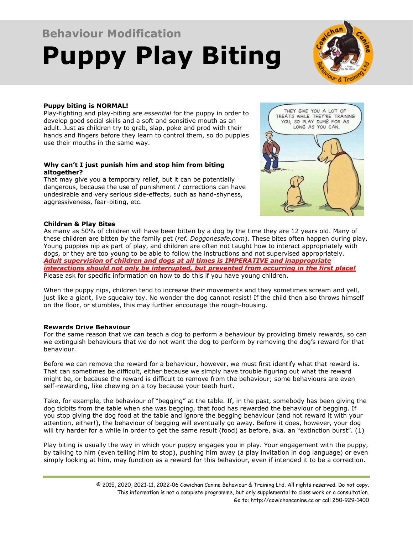# **Behaviour Modification Puppy Play Biting**



## **Puppy biting is NORMAL!**

Play-fighting and play-biting are *essential* for the puppy in order to develop good social skills and a soft and sensitive mouth as an adult. Just as children try to grab, slap, poke and prod with their hands and fingers before they learn to control them, so do puppies use their mouths in the same way.

#### **Why can't I just punish him and stop him from biting altogether?**

That may give you a temporary relief, but it can be potentially dangerous, because the use of punishment / corrections can have undesirable and very serious side-effects, such as hand-shyness, aggressiveness, fear-biting, etc.



### **Children & Play Bites**

As many as 50% of children will have been bitten by a dog by the time they are 12 years old. Many of these children are bitten by the family pet (*ref. Doggonesafe.com*). These bites often happen during play. Young puppies nip as part of play, and children are often not taught how to interact appropriately with dogs, or they are too young to be able to follow the instructions and not supervised appropriately. *Adult supervision of children and dogs at all times is IMPERATIVE and inappropriate interactions should not only be interrupted, but prevented from occurring in the first place!* Please ask for specific information on how to do this if you have young children.

When the puppy nips, children tend to increase their movements and they sometimes scream and yell, just like a giant, live squeaky toy. No wonder the dog cannot resist! If the child then also throws himself on the floor, or stumbles, this may further encourage the rough-housing.

#### **Rewards Drive Behaviour**

For the same reason that we can teach a dog to perform a behaviour by providing timely rewards, so can we extinguish behaviours that we do not want the dog to perform by removing the dog's reward for that behaviour.

Before we can remove the reward for a behaviour, however, we must first identify what that reward is. That can sometimes be difficult, either because we simply have trouble figuring out what the reward might be, or because the reward is difficult to remove from the behaviour; some behaviours are even self-rewarding, like chewing on a toy because your teeth hurt.

Take, for example, the behaviour of "begging" at the table. If, in the past, somebody has been giving the dog tidbits from the table when she was begging, that food has rewarded the behaviour of begging. If you stop giving the dog food at the table and ignore the begging behaviour (and not reward it with your attention, either!), the behaviour of begging will eventually go away. Before it does, however, your dog will try harder for a while in order to get the same result (food) as before, aka. an "extinction burst". (1)

Play biting is usually the way in which your puppy engages you in play. Your engagement with the puppy, by talking to him (even telling him to stop), pushing him away (a play invitation in dog language) or even simply looking at him, may function as a reward for this behaviour, even if intended it to be a correction.

<sup>© 2015, 2020, 2021-11, 2022-06</sup> Cowichan Canine Behaviour & Training Ltd. All rights reserved. Do not copy. This information is not a complete programme, but only supplemental to class work or a consultation. Go to: http://cowichancanine.ca or call 250-929-1400